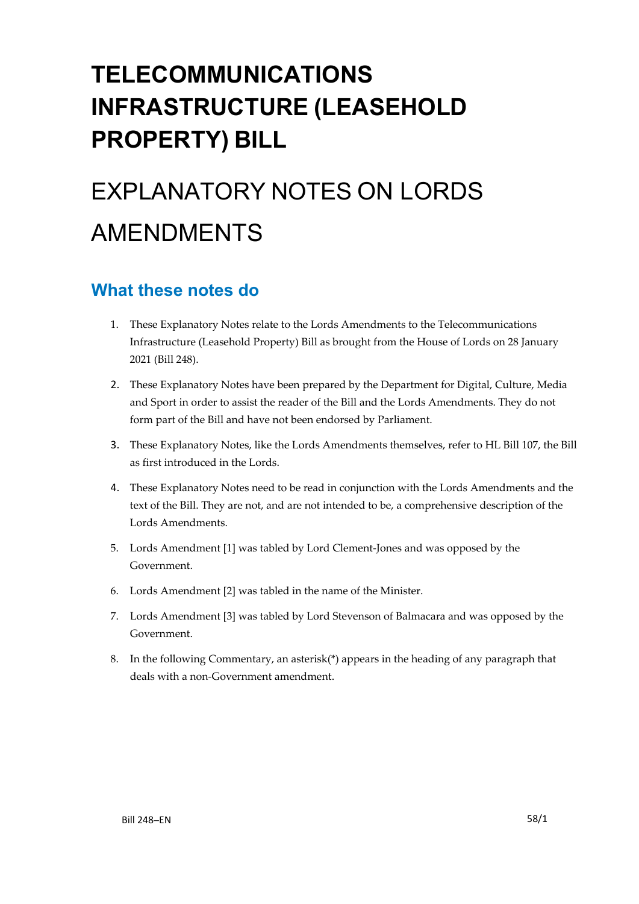## **TELECOMMUNICATIONS INFRASTRUCTURE (LEASEHOLD PROPERTY) BILL**

# EXPLANATORY NOTES ON LORDS AMENDMENTS

### **What these notes do**

- 1. These Explanatory Notes relate to the Lords Amendments to the Telecommunications Infrastructure (Leasehold Property) Bill as brought from the House of Lords on 28 January 2021 (Bill 248).
- 2. These Explanatory Notes have been prepared by the Department for Digital, Culture, Media and Sport in order to assist the reader of the Bill and the Lords Amendments. They do not form part of the Bill and have not been endorsed by Parliament.
- 3. These Explanatory Notes, like the Lords Amendments themselves, refer to HL Bill 107, the Bill as first introduced in the Lords.
- 4. These Explanatory Notes need to be read in conjunction with the Lords Amendments and the text of the Bill. They are not, and are not intended to be, a comprehensive description of the Lords Amendments.
- 5. Lords Amendment [1] was tabled by Lord Clement-Jones and was opposed by the Government.
- 6. Lords Amendment [2] was tabled in the name of the Minister.
- 7. Lords Amendment [3] was tabled by Lord Stevenson of Balmacara and was opposed by the Government.
- 8. In the following Commentary, an asterisk(\*) appears in the heading of any paragraph that deals with a non-Government amendment.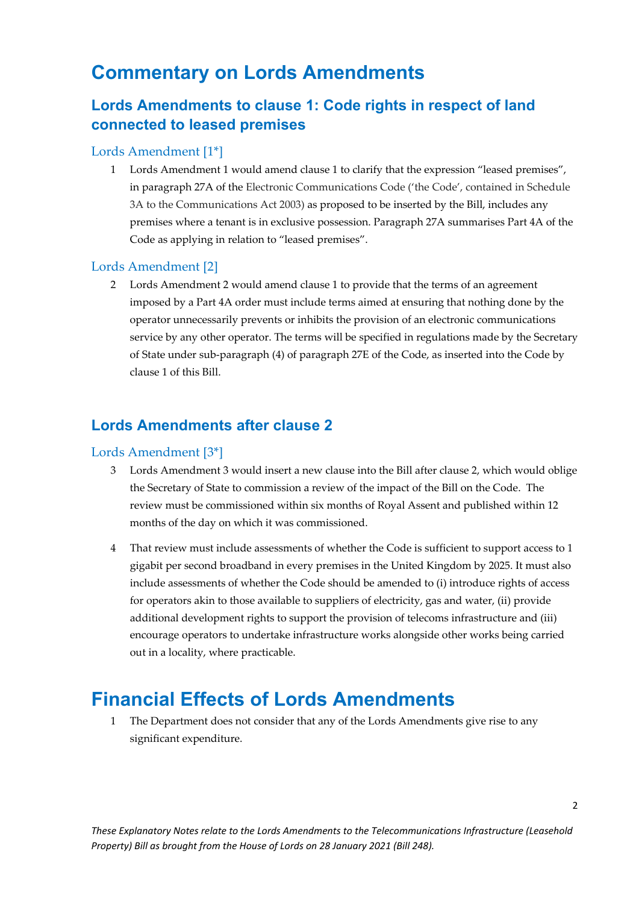### **Commentary on Lords Amendments**

### **Lords Amendments to clause 1: Code rights in respect of land connected to leased premises**

#### Lords Amendment [1\*]

1 Lords Amendment 1 would amend clause 1 to clarify that the expression "leased premises", in paragraph 27A of the Electronic Communications Code ('the Code', contained in Schedule 3A to the Communications Act 2003) as proposed to be inserted by the Bill, includes any premises where a tenant is in exclusive possession. Paragraph 27A summarises Part 4A of the Code as applying in relation to "leased premises".

#### Lords Amendment [2]

2 Lords Amendment 2 would amend clause 1 to provide that the terms of an agreement imposed by a Part 4A order must include terms aimed at ensuring that nothing done by the operator unnecessarily prevents or inhibits the provision of an electronic communications service by any other operator. The terms will be specified in regulations made by the Secretary of State under sub-paragraph (4) of paragraph 27E of the Code, as inserted into the Code by clause 1 of this Bill.

#### **Lords Amendments after clause 2**

#### Lords Amendment [3\*]

- 3 Lords Amendment 3 would insert a new clause into the Bill after clause 2, which would oblige the Secretary of State to commission a review of the impact of the Bill on the Code. The review must be commissioned within six months of Royal Assent and published within 12 months of the day on which it was commissioned.
- 4 That review must include assessments of whether the Code is sufficient to support access to 1 gigabit per second broadband in every premises in the United Kingdom by 2025. It must also include assessments of whether the Code should be amended to (i) introduce rights of access for operators akin to those available to suppliers of electricity, gas and water, (ii) provide additional development rights to support the provision of telecoms infrastructure and (iii) encourage operators to undertake infrastructure works alongside other works being carried out in a locality, where practicable.

### **Financial Effects of Lords Amendments**

1 The Department does not consider that any of the Lords Amendments give rise to any significant expenditure.